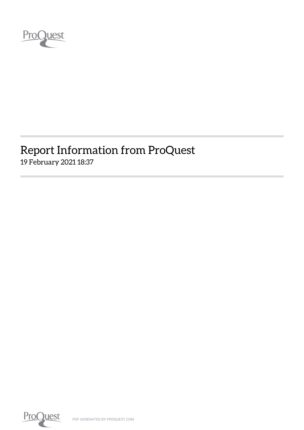

## Report Information from ProQuest 19 February 2021 18:37

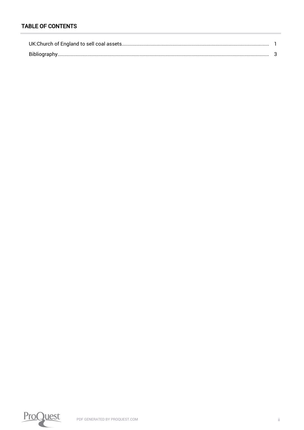#### **TABLE OF CONTENTS**

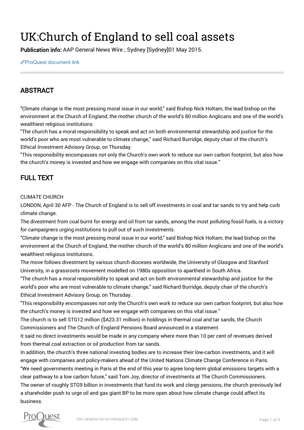# <span id="page-2-0"></span>UK:Church of England to sell coal assets

Publication info: AAP General News Wire ; Sydney [Sydney]01 May 2015.

[ProQuest document link](https://manchester.idm.oclc.org/login?url=https://www.proquest.com/wire-feeds/uk-church-england-sell-coal-assets/docview/1677410102/se-2?accountid=12253)

#### ABSTRACT

"Climate change is the most pressing moral issue in our world," said Bishop Nick Holtam, the lead bishop on the environment at the Church of England, the mother church of the world's 80 million Anglicans and one of the world's wealthiest religious institutions.

"The church has a moral responsibility to speak and act on both environmental stewardship and justice for the world's poor who are most vulnerable to climate change," said Richard Burridge, deputy chair of the church's Ethical Investment Advisory Group, on Thursday.

"This responsibility encompasses not only the Church's own work to reduce our own carbon footprint, but also how the church's money is invested and how we engage with companies on this vital issue."

### FULL TEXT

#### CLIMATE CHURCH

LONDON, April 30 AFP - The Church of England is to sell off investments in coal and tar sands to try and help curb climate change.

The divestment from coal burnt for energy and oil from tar sands, among the most polluting fossil fuels, is a victory for campaigners urging institutions to pull out of such investments.

"Climate change is the most pressing moral issue in our world," said Bishop Nick Holtam, the lead bishop on the environment at the Church of England, the mother church of the world's 80 million Anglicans and one of the world's wealthiest religious institutions.

The move follows divestment by various church dioceses worldwide, the University of Glasgow and Stanford University, in a grassroots movement modelled on 1980s opposition to apartheid in South Africa.

"The church has a moral responsibility to speak and act on both environmental stewardship and justice for the world's poor who are most vulnerable to climate change," said Richard Burridge, deputy chair of the church's Ethical Investment Advisory Group, on Thursday.

"This responsibility encompasses not only the Church's own work to reduce our own carbon footprint, but also how the church's money is invested and how we engage with companies on this vital issue."

The church is to sell STG12 million (\$A23.31 million) in holdings in thermal coal and tar sands, the Church Commissioners and The Church of England Pensions Board announced in a statement.

It said no direct investments would be made in any company where more than 10 per cent of revenues derived from thermal coal extraction or oil production from tar sands.

In addition, the church's three national investing bodies are to increase their low-carbon investments, and it will engage with companies and policy-makers ahead of the United Nations Climate Change Conference in Paris.

"We need governments meeting in Paris at the end of this year to agree long-term global emissions targets with a clear pathway to a low carbon future," said Tom Joy, director of investments at The Church Commissioners.

The owner of roughly STG9 billion in investments that fund its work and clergy pensions, the church previously led a shareholder push to urge oil and gas giant BP to be more open about how climate change could affect its business.

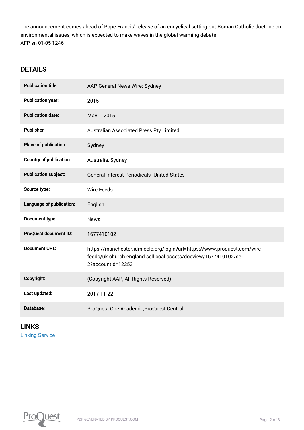The announcement comes ahead of Pope Francis' release of an encyclical setting out Roman Catholic doctrine on environmental issues, which is expected to make waves in the global warming debate. AFP sn 01-05 1246

#### **DETAILS**

| <b>Publication title:</b>      | AAP General News Wire; Sydney                                                                                                                                    |
|--------------------------------|------------------------------------------------------------------------------------------------------------------------------------------------------------------|
| <b>Publication year:</b>       | 2015                                                                                                                                                             |
| <b>Publication date:</b>       | May 1, 2015                                                                                                                                                      |
| <b>Publisher:</b>              | Australian Associated Press Pty Limited                                                                                                                          |
| Place of publication:          | Sydney                                                                                                                                                           |
| <b>Country of publication:</b> | Australia, Sydney                                                                                                                                                |
| <b>Publication subject:</b>    | <b>General Interest Periodicals--United States</b>                                                                                                               |
| Source type:                   | <b>Wire Feeds</b>                                                                                                                                                |
| Language of publication:       | English                                                                                                                                                          |
| Document type:                 | <b>News</b>                                                                                                                                                      |
| ProQuest document ID:          | 1677410102                                                                                                                                                       |
| <b>Document URL:</b>           | https://manchester.idm.oclc.org/login?url=https://www.proquest.com/wire-<br>feeds/uk-church-england-sell-coal-assets/docview/1677410102/se-<br>2?accountid=12253 |
| Copyright:                     | (Copyright AAP, All Rights Reserved)                                                                                                                             |
| Last updated:                  | 2017-11-22                                                                                                                                                       |
| Database:                      | ProQuest One Academic, ProQuest Central                                                                                                                          |

LINKS [Linking Service](http://man-fe.hosted.exlibrisgroup.com/openurl/44MAN/44MAN_services_page?genre=article&atitle=UK:Church%20of%20England%20to%20sell%20coal%20assets&author=&volume=&issue=&spage=&date=2015&rft.btitle=&rft.jtitle=AAP%20General%20News%20Wire&issn=&isbn=&sid=ProQ:anznews_)